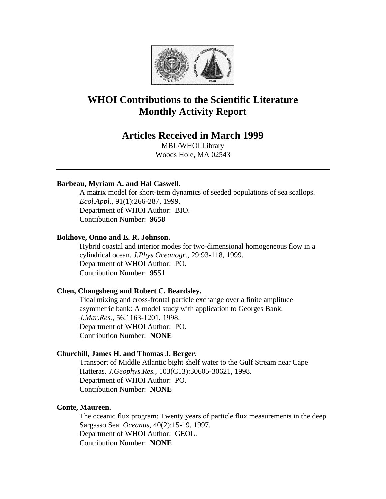

# **WHOI Contributions to the Scientific Literature Monthly Activity Report**

# **Articles Received in March 1999**

MBL/WHOI Library Woods Hole, MA 02543

# **Barbeau, Myriam A. and Hal Caswell.**

A matrix model for short-term dynamics of seeded populations of sea scallops. *Ecol.Appl.*, 91(1):266-287, 1999. Department of WHOI Author: BIO. Contribution Number: **9658**

#### **Bokhove, Onno and E. R. Johnson.**

Hybrid coastal and interior modes for two-dimensional homogeneous flow in a cylindrical ocean. *J.Phys.Oceanogr.*, 29:93-118, 1999. Department of WHOI Author: PO. Contribution Number: **9551**

# **Chen, Changsheng and Robert C. Beardsley.**

Tidal mixing and cross-frontal particle exchange over a finite amplitude asymmetric bank: A model study with application to Georges Bank. *J.Mar.Res.*, 56:1163-1201, 1998. Department of WHOI Author: PO. Contribution Number: **NONE**

# **Churchill, James H. and Thomas J. Berger.**

Transport of Middle Atlantic bight shelf water to the Gulf Stream near Cape Hatteras. *J.Geophys.Res.*, 103(C13):30605-30621, 1998. Department of WHOI Author: PO. Contribution Number: **NONE**

#### **Conte, Maureen.**

The oceanic flux program: Twenty years of particle flux measurements in the deep Sargasso Sea. *Oceanus*, 40(2):15-19, 1997. Department of WHOI Author: GEOL. Contribution Number: **NONE**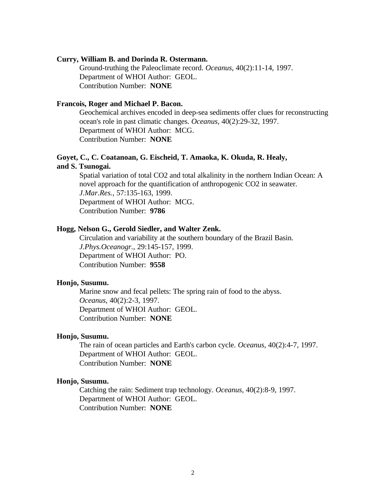#### **Curry, William B. and Dorinda R. Ostermann.**

Ground-truthing the Paleoclimate record. *Oceanus*, 40(2):11-14, 1997. Department of WHOI Author: GEOL. Contribution Number: **NONE**

#### **Francois, Roger and Michael P. Bacon.**

Geochemical archives encoded in deep-sea sediments offer clues for reconstructing ocean's role in past climatic changes. *Oceanus*, 40(2):29-32, 1997. Department of WHOI Author: MCG. Contribution Number: **NONE**

#### **Goyet, C., C. Coatanoan, G. Eischeid, T. Amaoka, K. Okuda, R. Healy, and S. Tsunogai.**

Spatial variation of total CO2 and total alkalinity in the northern Indian Ocean: A novel approach for the quantification of anthropogenic CO2 in seawater. *J.Mar.Res.*, 57:135-163, 1999. Department of WHOI Author: MCG. Contribution Number: **9786**

#### **Hogg, Nelson G., Gerold Siedler, and Walter Zenk.**

Circulation and variability at the southern boundary of the Brazil Basin. *J.Phys.Oceanogr.*, 29:145-157, 1999. Department of WHOI Author: PO. Contribution Number: **9558**

#### **Honjo, Susumu.**

Marine snow and fecal pellets: The spring rain of food to the abyss. *Oceanus*, 40(2):2-3, 1997. Department of WHOI Author: GEOL. Contribution Number: **NONE**

#### **Honjo, Susumu.**

The rain of ocean particles and Earth's carbon cycle. *Oceanus*, 40(2):4-7, 1997. Department of WHOI Author: GEOL. Contribution Number: **NONE**

#### **Honjo, Susumu.**

Catching the rain: Sediment trap technology. *Oceanus*, 40(2):8-9, 1997. Department of WHOI Author: GEOL. Contribution Number: **NONE**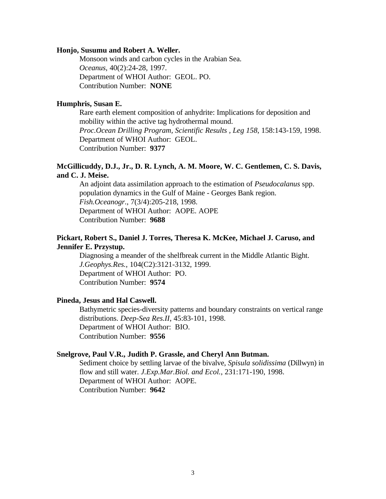#### **Honjo, Susumu and Robert A. Weller.**

Monsoon winds and carbon cycles in the Arabian Sea. *Oceanus*, 40(2):24-28, 1997. Department of WHOI Author: GEOL. PO. Contribution Number: **NONE**

#### **Humphris, Susan E.**

Rare earth element composition of anhydrite: Implications for deposition and mobility within the active tag hydrothermal mound. *Proc.Ocean Drilling Program, Scientific Results , Leg 158*, 158:143-159, 1998. Department of WHOI Author: GEOL. Contribution Number: **9377**

# **McGillicuddy, D.J., Jr., D. R. Lynch, A. M. Moore, W. C. Gentlemen, C. S. Davis, and C. J. Meise.**

An adjoint data assimilation approach to the estimation of *Pseudocalanus* spp. population dynamics in the Gulf of Maine - Georges Bank region. *Fish.Oceanogr.*, 7(3/4):205-218, 1998. Department of WHOI Author: AOPE. AOPE Contribution Number: **9688**

# **Pickart, Robert S., Daniel J. Torres, Theresa K. McKee, Michael J. Caruso, and Jennifer E. Przystup.**

Diagnosing a meander of the shelfbreak current in the Middle Atlantic Bight. *J.Geophys.Res.*, 104(C2):3121-3132, 1999. Department of WHOI Author: PO. Contribution Number: **9574**

#### **Pineda, Jesus and Hal Caswell.**

Bathymetric species-diversity patterns and boundary constraints on vertical range distributions. *Deep-Sea Res.II*, 45:83-101, 1998. Department of WHOI Author: BIO. Contribution Number: **9556**

#### **Snelgrove, Paul V.R., Judith P. Grassle, and Cheryl Ann Butman.**

Sediment choice by settling larvae of the bivalve, *Spisula solidissima* (Dillwyn) in flow and still water. *J.Exp.Mar.Biol. and Ecol.*, 231:171-190, 1998. Department of WHOI Author: AOPE. Contribution Number: **9642**